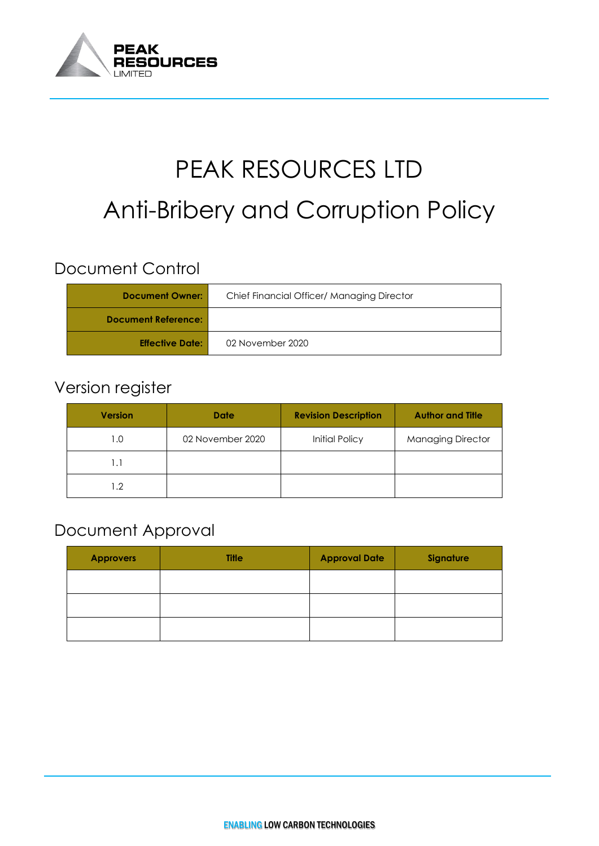

# PEAK RESOURCES LTD Anti-Bribery and Corruption Policy

# Document Control

| <b>Document Owner:</b>     | Chief Financial Officer/ Managing Director |  |  |
|----------------------------|--------------------------------------------|--|--|
| <b>Document Reference:</b> |                                            |  |  |
| <b>Effective Date:</b>     | 02 November 2020                           |  |  |

# Version register

| <b>Version</b> | <b>Date</b>      | <b>Revision Description</b> | <b>Author and Title</b>  |
|----------------|------------------|-----------------------------|--------------------------|
| I.O            | 02 November 2020 | Initial Policy              | <b>Managing Director</b> |
|                |                  |                             |                          |
| 2. ا           |                  |                             |                          |

### Document Approval

| <b>Approvers</b> | <b>Title</b> | <b>Approval Date</b> | Signature |
|------------------|--------------|----------------------|-----------|
|                  |              |                      |           |
|                  |              |                      |           |
|                  |              |                      |           |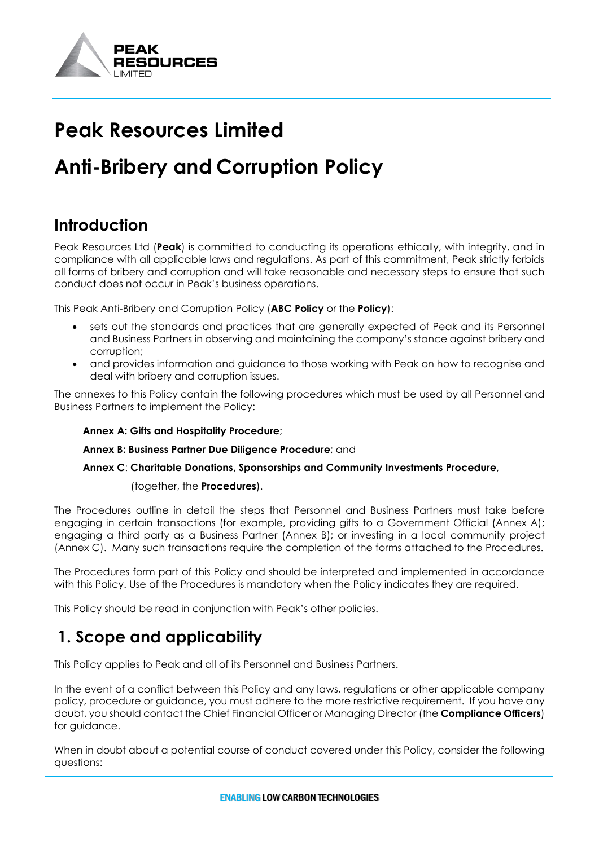

# **Peak Resources Limited**

# **Anti-Bribery and Corruption Policy**

# **Introduction**

Peak Resources Ltd (**Peak**) is committed to conducting its operations ethically, with integrity, and in compliance with all applicable laws and regulations. As part of this commitment, Peak strictly forbids all forms of bribery and corruption and will take reasonable and necessary steps to ensure that such conduct does not occur in Peak's business operations.

This Peak Anti-Bribery and Corruption Policy (**ABC Policy** or the **Policy**):

- sets out the standards and practices that are generally expected of Peak and its Personnel and Business Partners in observing and maintaining the company's stance against bribery and corruption;
- and provides information and guidance to those working with Peak on how to recognise and deal with bribery and corruption issues.

The annexes to this Policy contain the following procedures which must be used by all Personnel and Business Partners to implement the Policy:

#### **Annex A: Gifts and Hospitality Procedure**;

**Annex B: Business Partner Due Diligence Procedure**; and

**Annex C**: **Charitable Donations, Sponsorships and Community Investments Procedure**,

(together, the **Procedures**).

The Procedures outline in detail the steps that Personnel and Business Partners must take before engaging in certain transactions (for example, providing gifts to a Government Official (Annex A); engaging a third party as a Business Partner (Annex B); or investing in a local community project (Annex C). Many such transactions require the completion of the forms attached to the Procedures.

The Procedures form part of this Policy and should be interpreted and implemented in accordance with this Policy. Use of the Procedures is mandatory when the Policy indicates they are required.

This Policy should be read in conjunction with Peak's other policies.

### **1. Scope and applicability**

This Policy applies to Peak and all of its Personnel and Business Partners.

In the event of a conflict between this Policy and any laws, regulations or other applicable company policy, procedure or guidance, you must adhere to the more restrictive requirement. If you have any doubt, you should contact the Chief Financial Officer or Managing Director (the **Compliance Officers**) for guidance.

When in doubt about a potential course of conduct covered under this Policy, consider the following questions: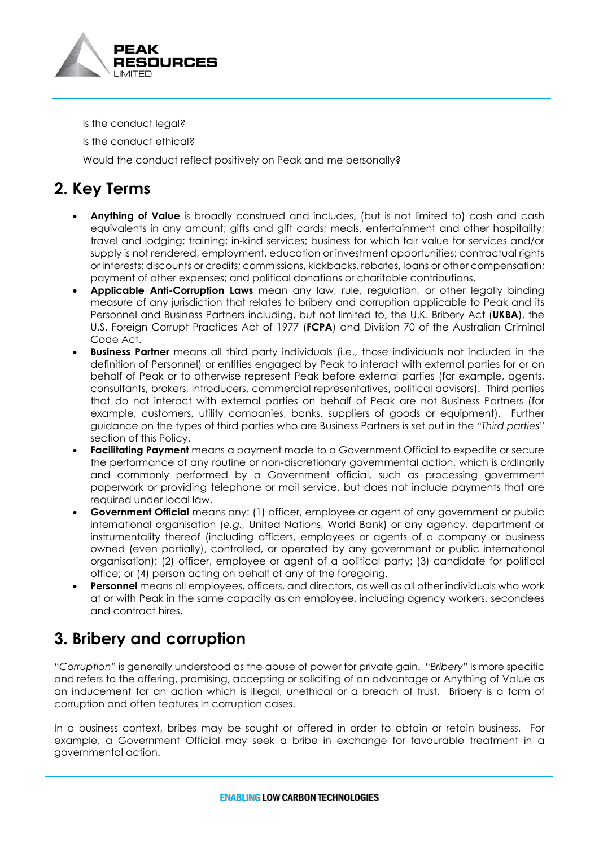

Is the conduct legal?

Is the conduct ethical?

Would the conduct reflect positively on Peak and me personally?

# **2. Key Terms**

- **Anything of Value** is broadly construed and includes, (but is not limited to) cash and cash equivalents in any amount; gifts and gift cards; meals, entertainment and other hospitality; travel and lodging; training; in-kind services; business for which fair value for services and/or supply is not rendered, employment, education or investment opportunities; contractual rights or interests; discounts or credits; commissions, kickbacks, rebates, loans or other compensation; payment of other expenses; and political donations or charitable contributions.
- **Applicable Anti-Corruption Laws** mean any law, rule, regulation, or other legally binding measure of any jurisdiction that relates to bribery and corruption applicable to Peak and its Personnel and Business Partners including, but not limited to, the U.K. Bribery Act (**UKBA**), the U.S. Foreign Corrupt Practices Act of 1977 (**FCPA**) and Division 70 of the Australian Criminal Code Act.
- **Business Partner** means all third party individuals (i.e., those individuals not included in the definition of Personnel) or entities engaged by Peak to interact with external parties for or on behalf of Peak or to otherwise represent Peak before external parties (for example, agents, consultants, brokers, introducers, commercial representatives, political advisors). Third parties that do not interact with external parties on behalf of Peak are not Business Partners (for example, customers, utility companies, banks, suppliers of goods or equipment). Further guidance on the types of third parties who are Business Partners is set out in the "*Third parties*" section of this Policy.
- **Facilitating Payment** means a payment made to a Government Official to expedite or secure the performance of any routine or non-discretionary governmental action, which is ordinarily and commonly performed by a Government official, such as processing government paperwork or providing telephone or mail service, but does not include payments that are required under local law.
- **Government Official** means any: (1) officer, employee or agent of any government or public international organisation (*e.g.,* United Nations, World Bank) or any agency, department or instrumentality thereof (including officers, employees or agents of a company or business owned (even partially), controlled, or operated by any government or public international organisation); (2) officer, employee or agent of a political party; (3) candidate for political office; or (4) person acting on behalf of any of the foregoing.
- **Personnel** means all employees, officers, and directors, as well as all other individuals who work at or with Peak in the same capacity as an employee, including agency workers, secondees and contract hires.

# **3. Bribery and corruption**

"*Corruption*" is generally understood as the abuse of power for private gain. "*Bribery*" is more specific and refers to the offering, promising, accepting or soliciting of an advantage or Anything of Value as an inducement for an action which is illegal, unethical or a breach of trust. Bribery is a form of corruption and often features in corruption cases.

In a business context, bribes may be sought or offered in order to obtain or retain business. For example, a Government Official may seek a bribe in exchange for favourable treatment in a governmental action.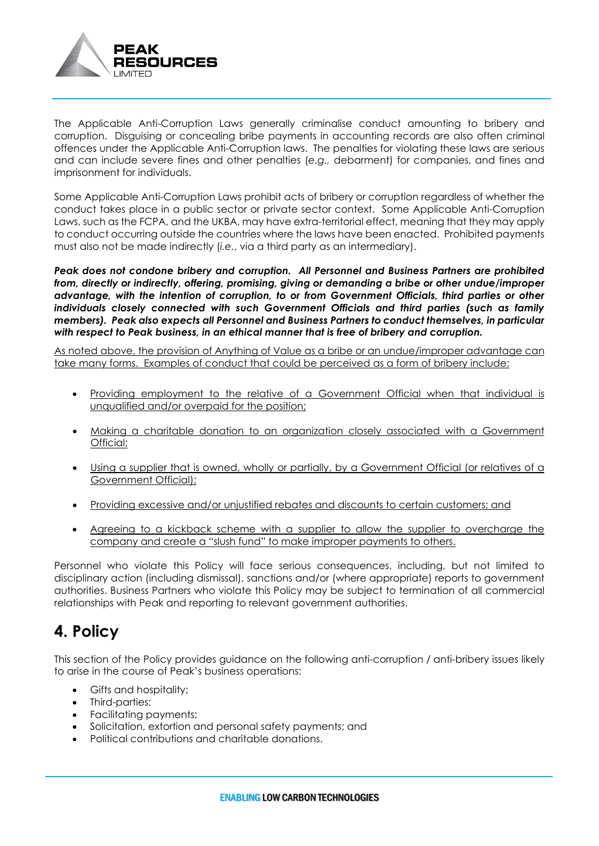

The Applicable Anti-Corruption Laws generally criminalise conduct amounting to bribery and corruption. Disguising or concealing bribe payments in accounting records are also often criminal offences under the Applicable Anti-Corruption laws. The penalties for violating these laws are serious and can include severe fines and other penalties (*e.g.,* debarment) for companies, and fines and imprisonment for individuals.

Some Applicable Anti-Corruption Laws prohibit acts of bribery or corruption regardless of whether the conduct takes place in a public sector or private sector context. Some Applicable Anti-Corruption Laws, such as the FCPA, and the UKBA, may have extra-territorial effect, meaning that they may apply to conduct occurring outside the countries where the laws have been enacted. Prohibited payments must also not be made indirectly (*i.e.*, via a third party as an intermediary).

*Peak does not condone bribery and corruption. All Personnel and Business Partners are prohibited from, directly or indirectly, offering, promising, giving or demanding a bribe or other undue/improper advantage, with the intention of corruption, to or from Government Officials, third parties or other individuals closely connected with such Government Officials and third parties (such as family members). Peak also expects all Personnel and Business Partners to conduct themselves, in particular with respect to Peak business, in an ethical manner that is free of bribery and corruption.*

As noted above, the provision of Anything of Value as a bribe or an undue/improper advantage can take many forms. Examples of conduct that could be perceived as a form of bribery include:

- Providing employment to the relative of a Government Official when that individual is unqualified and/or overpaid for the position;
- Making a charitable donation to an organization closely associated with a Government Official;
- Using a supplier that is owned, wholly or partially, by a Government Official (or relatives of a Government Official);
- Providing excessive and/or unjustified rebates and discounts to certain customers; and
- Agreeing to a kickback scheme with a supplier to allow the supplier to overcharge the company and create a "slush fund" to make improper payments to others.

Personnel who violate this Policy will face serious consequences, including, but not limited to disciplinary action (including dismissal), sanctions and/or (where appropriate) reports to government authorities. Business Partners who violate this Policy may be subject to termination of all commercial relationships with Peak and reporting to relevant government authorities.

# **4. Policy**

This section of the Policy provides guidance on the following anti-corruption / anti-bribery issues likely to arise in the course of Peak's business operations:

- Gifts and hospitality;
- Third-parties;
- Facilitating payments;
- Solicitation, extortion and personal safety payments; and
- Political contributions and charitable donations.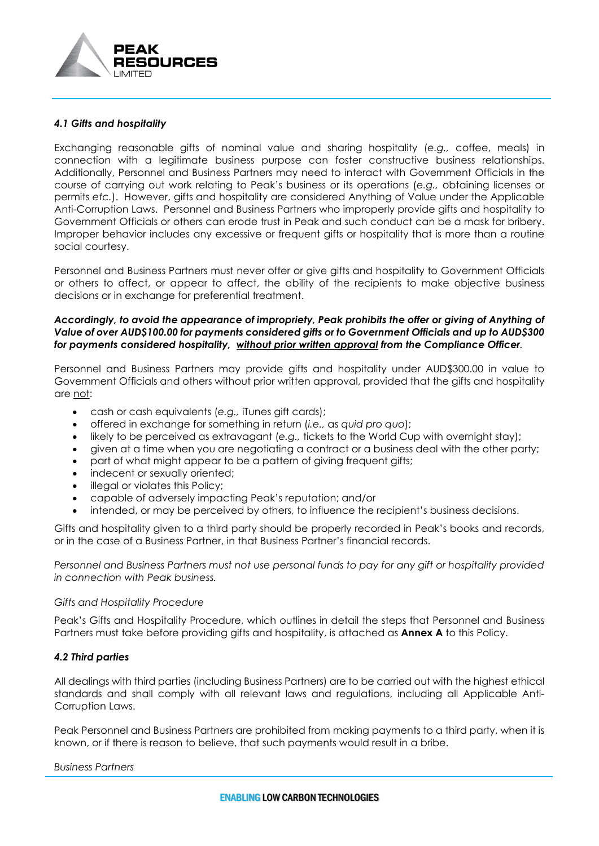

#### *4.1 Gifts and hospitality*

Exchanging reasonable gifts of nominal value and sharing hospitality (*e.g.,* coffee, meals) in connection with a legitimate business purpose can foster constructive business relationships. Additionally, Personnel and Business Partners may need to interact with Government Officials in the course of carrying out work relating to Peak's business or its operations (*e.g.,* obtaining licenses or permits *etc.*). However, gifts and hospitality are considered Anything of Value under the Applicable Anti-Corruption Laws. Personnel and Business Partners who improperly provide gifts and hospitality to Government Officials or others can erode trust in Peak and such conduct can be a mask for bribery. Improper behavior includes any excessive or frequent gifts or hospitality that is more than a routine social courtesy.

Personnel and Business Partners must never offer or give gifts and hospitality to Government Officials or others to affect, or appear to affect, the ability of the recipients to make objective business decisions or in exchange for preferential treatment.

#### Accordingly, to avoid the appearance of impropriety, Peak prohibits the offer or giving of Anything of *Value of over AUD\$100.00 for payments considered gifts or to Government Officials and up to AUD\$300 for payments considered hospitality, without prior written approval from the Compliance Officer.*

Personnel and Business Partners may provide gifts and hospitality under AUD\$300.00 in value to Government Officials and others without prior written approval, provided that the gifts and hospitality are not:

- cash or cash equivalents (*e.g.,* iTunes gift cards);
- offered in exchange for something in return (*i.e.,* as *quid pro quo*);
- likely to be perceived as extravagant (*e.g.,* tickets to the World Cup with overnight stay);
- given at a time when you are negotiating a contract or a business deal with the other party;
- part of what might appear to be a pattern of giving frequent gifts;
- indecent or sexually oriented;
- illegal or violates this Policy;
- capable of adversely impacting Peak's reputation; and/or
- intended, or may be perceived by others, to influence the recipient's business decisions.

Gifts and hospitality given to a third party should be properly recorded in Peak's books and records, or in the case of a Business Partner, in that Business Partner's financial records.

*Personnel and Business Partners must not use personal funds to pay for any gift or hospitality provided in connection with Peak business.*

#### *Gifts and Hospitality Procedure*

Peak's Gifts and Hospitality Procedure, which outlines in detail the steps that Personnel and Business Partners must take before providing gifts and hospitality, is attached as **Annex A** to this Policy.

#### *4.2 Third parties*

All dealings with third parties (including Business Partners) are to be carried out with the highest ethical standards and shall comply with all relevant laws and regulations, including all Applicable Anti-Corruption Laws.

Peak Personnel and Business Partners are prohibited from making payments to a third party, when it is known, or if there is reason to believe, that such payments would result in a bribe.

#### *Business Partners*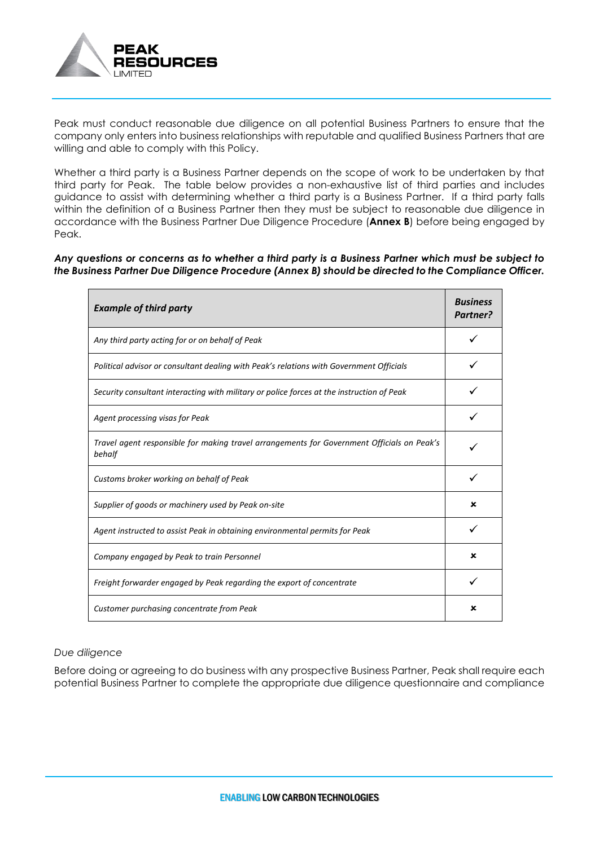

Peak must conduct reasonable due diligence on all potential Business Partners to ensure that the company only enters into business relationships with reputable and qualified Business Partners that are willing and able to comply with this Policy.

Whether a third party is a Business Partner depends on the scope of work to be undertaken by that third party for Peak. The table below provides a non-exhaustive list of third parties and includes guidance to assist with determining whether a third party is a Business Partner. If a third party falls within the definition of a Business Partner then they must be subject to reasonable due diligence in accordance with the Business Partner Due Diligence Procedure (**Annex B**) before being engaged by Peak.

*Any questions or concerns as to whether a third party is a Business Partner which must be subject to the Business Partner Due Diligence Procedure (Annex B) should be directed to the Compliance Officer.*

| <b>Example of third party</b>                                                                        |   |  |
|------------------------------------------------------------------------------------------------------|---|--|
| Any third party acting for or on behalf of Peak                                                      |   |  |
| Political advisor or consultant dealing with Peak's relations with Government Officials              |   |  |
| Security consultant interacting with military or police forces at the instruction of Peak            |   |  |
| Agent processing visas for Peak                                                                      |   |  |
| Travel agent responsible for making travel arrangements for Government Officials on Peak's<br>behalf |   |  |
| Customs broker working on behalf of Peak                                                             |   |  |
| Supplier of goods or machinery used by Peak on-site                                                  |   |  |
| Agent instructed to assist Peak in obtaining environmental permits for Peak                          |   |  |
| Company engaged by Peak to train Personnel                                                           | x |  |
| Freight forwarder engaged by Peak regarding the export of concentrate                                |   |  |
| Customer purchasing concentrate from Peak                                                            |   |  |

#### *Due diligence*

Before doing or agreeing to do business with any prospective Business Partner, Peak shall require each potential Business Partner to complete the appropriate due diligence questionnaire and compliance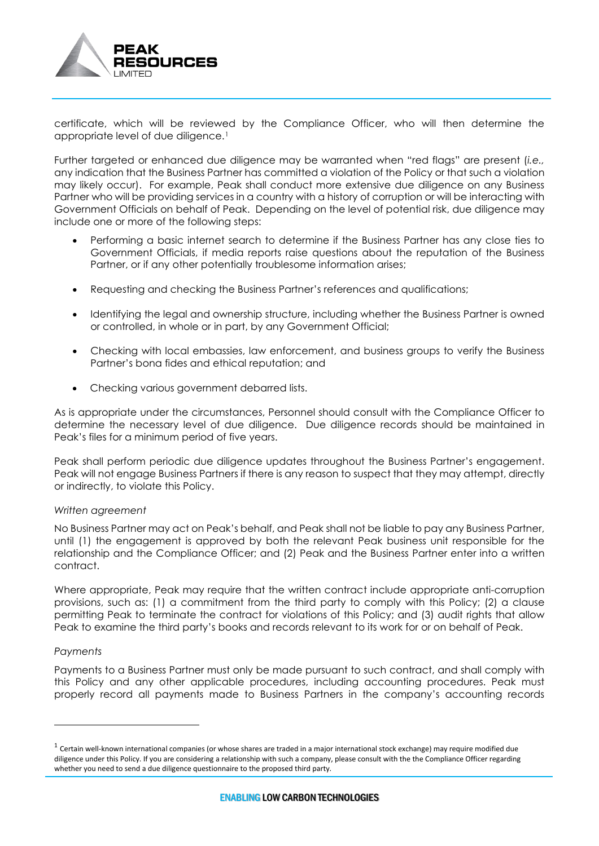

certificate, which will be reviewed by the Compliance Officer, who will then determine the appropriate level of due diligence.[1](#page-6-0)

Further targeted or enhanced due diligence may be warranted when "red flags" are present (*i.e.,* any indication that the Business Partner has committed a violation of the Policy or that such a violation may likely occur). For example, Peak shall conduct more extensive due diligence on any Business Partner who will be providing services in a country with a history of corruption or will be interacting with Government Officials on behalf of Peak. Depending on the level of potential risk, due diligence may include one or more of the following steps:

- Performing a basic internet search to determine if the Business Partner has any close ties to Government Officials, if media reports raise questions about the reputation of the Business Partner, or if any other potentially troublesome information arises;
- Requesting and checking the Business Partner's references and qualifications;
- Identifying the legal and ownership structure, including whether the Business Partner is owned or controlled, in whole or in part, by any Government Official;
- Checking with local embassies, law enforcement, and business groups to verify the Business Partner's bona fides and ethical reputation; and
- Checking various government debarred lists.

As is appropriate under the circumstances, Personnel should consult with the Compliance Officer to determine the necessary level of due diligence. Due diligence records should be maintained in Peak's files for a minimum period of five years.

Peak shall perform periodic due diligence updates throughout the Business Partner's engagement. Peak will not engage Business Partners if there is any reason to suspect that they may attempt, directly or indirectly, to violate this Policy.

#### *Written agreement*

No Business Partner may act on Peak's behalf, and Peak shall not be liable to pay any Business Partner, until (1) the engagement is approved by both the relevant Peak business unit responsible for the relationship and the Compliance Officer; and (2) Peak and the Business Partner enter into a written contract.

Where appropriate, Peak may require that the written contract include appropriate anti-corruption provisions, such as: (1) a commitment from the third party to comply with this Policy; (2) a clause permitting Peak to terminate the contract for violations of this Policy; and (3) audit rights that allow Peak to examine the third party's books and records relevant to its work for or on behalf of Peak.

#### *Payments*

Payments to a Business Partner must only be made pursuant to such contract, and shall comply with this Policy and any other applicable procedures, including accounting procedures. Peak must properly record all payments made to Business Partners in the company's accounting records

<span id="page-6-0"></span> $1$  Certain well-known international companies (or whose shares are traded in a major international stock exchange) may require modified due diligence under this Policy. If you are considering a relationship with such a company, please consult with the the Compliance Officer regarding whether you need to send a due diligence questionnaire to the proposed third party.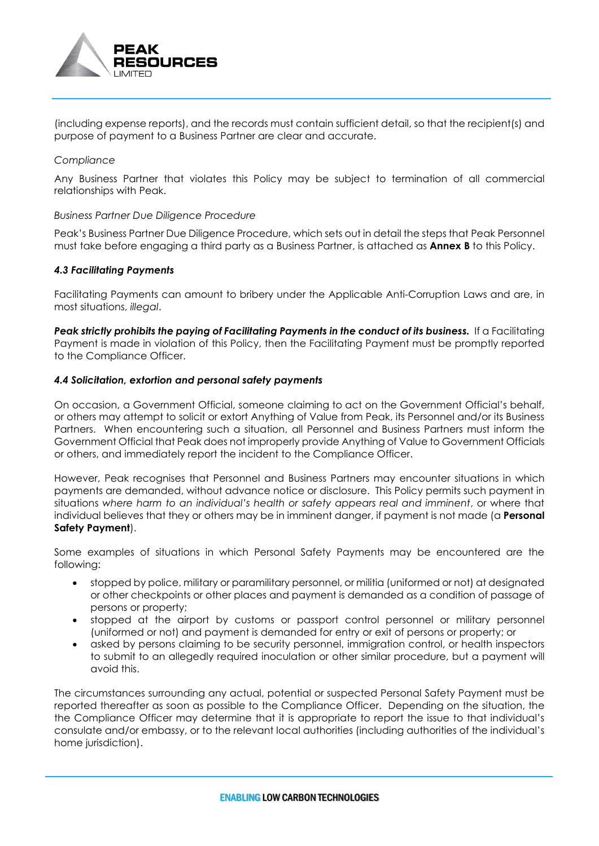

(including expense reports), and the records must contain sufficient detail, so that the recipient(s) and purpose of payment to a Business Partner are clear and accurate.

#### *Compliance*

Any Business Partner that violates this Policy may be subject to termination of all commercial relationships with Peak.

#### *Business Partner Due Diligence Procedure*

Peak's Business Partner Due Diligence Procedure, which sets out in detail the steps that Peak Personnel must take before engaging a third party as a Business Partner, is attached as **Annex B** to this Policy.

#### *4.3 Facilitating Payments*

Facilitating Payments can amount to bribery under the Applicable Anti-Corruption Laws and are, in most situations, *illegal*.

**Peak strictly prohibits the paying of Facilitating Payments in the conduct of its business.** If a Facilitating Payment is made in violation of this Policy, then the Facilitating Payment must be promptly reported to the Compliance Officer.

#### *4.4 Solicitation, extortion and personal safety payments*

On occasion, a Government Official, someone claiming to act on the Government Official's behalf, or others may attempt to solicit or extort Anything of Value from Peak, its Personnel and/or its Business Partners. When encountering such a situation, all Personnel and Business Partners must inform the Government Official that Peak does not improperly provide Anything of Value to Government Officials or others, and immediately report the incident to the Compliance Officer.

However, Peak recognises that Personnel and Business Partners may encounter situations in which payments are demanded, without advance notice or disclosure. This Policy permits such payment in situations *where harm to an individual's health or safety appears real and imminent*, or where that individual believes that they or others may be in imminent danger, if payment is not made (a **Personal Safety Payment**).

Some examples of situations in which Personal Safety Payments may be encountered are the following:

- stopped by police, military or paramilitary personnel, or militia (uniformed or not) at designated or other checkpoints or other places and payment is demanded as a condition of passage of persons or property;
- stopped at the airport by customs or passport control personnel or military personnel (uniformed or not) and payment is demanded for entry or exit of persons or property; or
- asked by persons claiming to be security personnel, immigration control, or health inspectors to submit to an allegedly required inoculation or other similar procedure, but a payment will avoid this.

The circumstances surrounding any actual, potential or suspected Personal Safety Payment must be reported thereafter as soon as possible to the Compliance Officer. Depending on the situation, the the Compliance Officer may determine that it is appropriate to report the issue to that individual's consulate and/or embassy, or to the relevant local authorities (including authorities of the individual's home jurisdiction).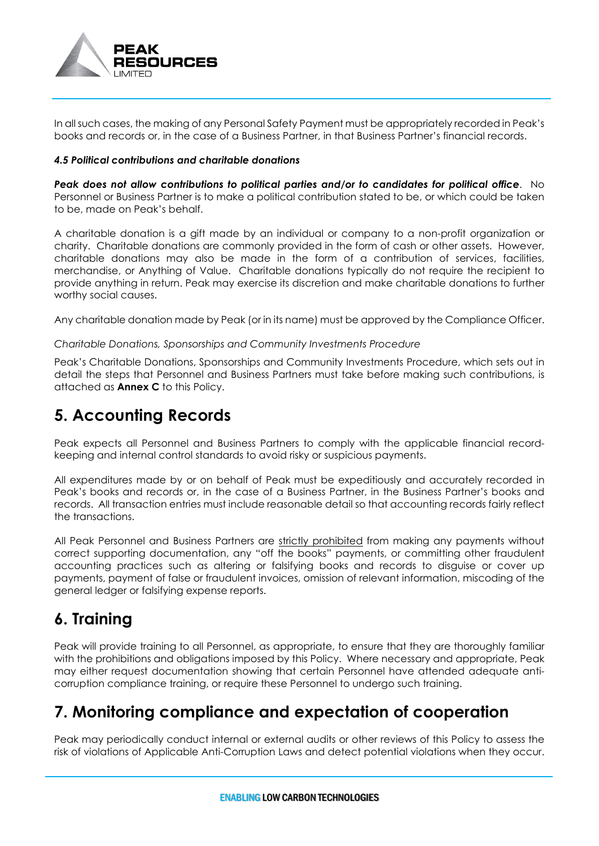

In all such cases, the making of any Personal Safety Payment must be appropriately recorded in Peak's books and records or, in the case of a Business Partner, in that Business Partner's financial records.

#### *4.5 Political contributions and charitable donations*

*Peak does not allow contributions to political parties and/or to candidates for political office*. No Personnel or Business Partner is to make a political contribution stated to be, or which could be taken to be, made on Peak's behalf.

A charitable donation is a gift made by an individual or company to a non-profit organization or charity. Charitable donations are commonly provided in the form of cash or other assets. However, charitable donations may also be made in the form of a contribution of services, facilities, merchandise, or Anything of Value. Charitable donations typically do not require the recipient to provide anything in return. Peak may exercise its discretion and make charitable donations to further worthy social causes.

Any charitable donation made by Peak (or in its name) must be approved by the Compliance Officer.

#### *Charitable Donations, Sponsorships and Community Investments Procedure*

Peak's Charitable Donations, Sponsorships and Community Investments Procedure, which sets out in detail the steps that Personnel and Business Partners must take before making such contributions, is attached as **Annex C** to this Policy.

### **5. Accounting Records**

Peak expects all Personnel and Business Partners to comply with the applicable financial recordkeeping and internal control standards to avoid risky or suspicious payments.

All expenditures made by or on behalf of Peak must be expeditiously and accurately recorded in Peak's books and records or, in the case of a Business Partner, in the Business Partner's books and records. All transaction entries must include reasonable detail so that accounting records fairly reflect the transactions.

All Peak Personnel and Business Partners are strictly prohibited from making any payments without correct supporting documentation, any "off the books" payments, or committing other fraudulent accounting practices such as altering or falsifying books and records to disguise or cover up payments, payment of false or fraudulent invoices, omission of relevant information, miscoding of the general ledger or falsifying expense reports.

### **6. Training**

Peak will provide training to all Personnel, as appropriate, to ensure that they are thoroughly familiar with the prohibitions and obligations imposed by this Policy. Where necessary and appropriate, Peak may either request documentation showing that certain Personnel have attended adequate anticorruption compliance training, or require these Personnel to undergo such training.

### **7. Monitoring compliance and expectation of cooperation**

Peak may periodically conduct internal or external audits or other reviews of this Policy to assess the risk of violations of Applicable Anti-Corruption Laws and detect potential violations when they occur.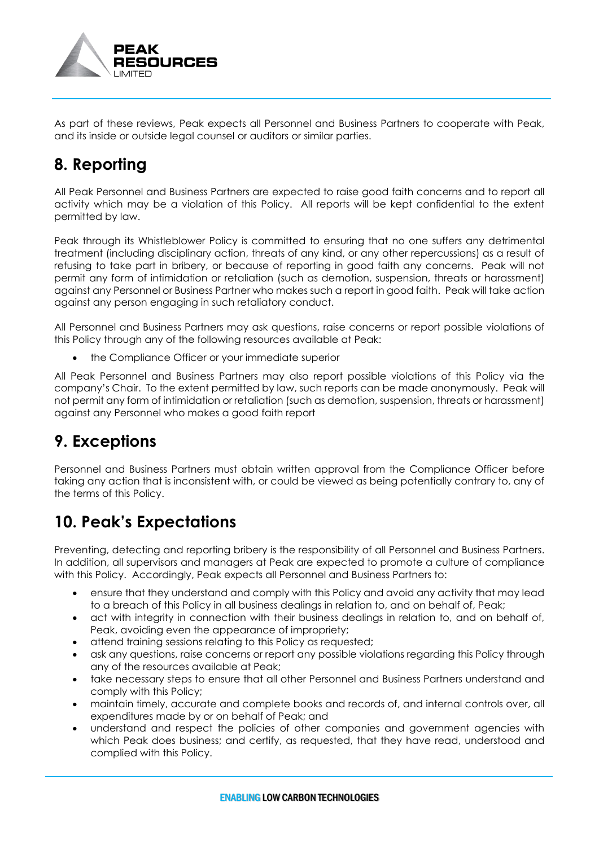

As part of these reviews, Peak expects all Personnel and Business Partners to cooperate with Peak, and its inside or outside legal counsel or auditors or similar parties.

# **8. Reporting**

All Peak Personnel and Business Partners are expected to raise good faith concerns and to report all activity which may be a violation of this Policy. All reports will be kept confidential to the extent permitted by law.

Peak through its Whistleblower Policy is committed to ensuring that no one suffers any detrimental treatment (including disciplinary action, threats of any kind, or any other repercussions) as a result of refusing to take part in bribery, or because of reporting in good faith any concerns. Peak will not permit any form of intimidation or retaliation (such as demotion, suspension, threats or harassment) against any Personnel or Business Partner who makes such a report in good faith. Peak will take action against any person engaging in such retaliatory conduct.

All Personnel and Business Partners may ask questions, raise concerns or report possible violations of this Policy through any of the following resources available at Peak:

• the Compliance Officer or your immediate superior

All Peak Personnel and Business Partners may also report possible violations of this Policy via the company's Chair. To the extent permitted by law, such reports can be made anonymously. Peak will not permit any form of intimidation or retaliation (such as demotion, suspension, threats or harassment) against any Personnel who makes a good faith report

### **9. Exceptions**

Personnel and Business Partners must obtain written approval from the Compliance Officer before taking any action that is inconsistent with, or could be viewed as being potentially contrary to, any of the terms of this Policy.

# **10. Peak's Expectations**

Preventing, detecting and reporting bribery is the responsibility of all Personnel and Business Partners. In addition, all supervisors and managers at Peak are expected to promote a culture of compliance with this Policy. Accordingly, Peak expects all Personnel and Business Partners to:

- ensure that they understand and comply with this Policy and avoid any activity that may lead to a breach of this Policy in all business dealings in relation to, and on behalf of, Peak;
- act with integrity in connection with their business dealings in relation to, and on behalf of, Peak, avoiding even the appearance of impropriety;
- attend training sessions relating to this Policy as requested;
- ask any questions, raise concerns or report any possible violations regarding this Policy through any of the resources available at Peak;
- take necessary steps to ensure that all other Personnel and Business Partners understand and comply with this Policy;
- maintain timely, accurate and complete books and records of, and internal controls over, all expenditures made by or on behalf of Peak; and
- understand and respect the policies of other companies and government agencies with which Peak does business; and certify, as requested, that they have read, understood and complied with this Policy.